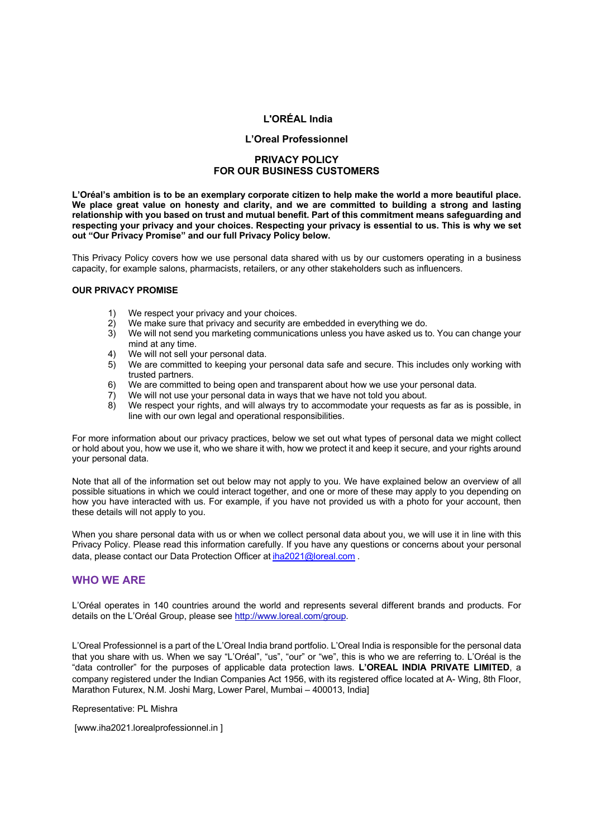# **L'ORÉAL India**

## **L'Oreal Professionnel**

# **PRIVACY POLICY FOR OUR BUSINESS CUSTOMERS**

L'Oréal's ambition is to be an exemplary corporate citizen to help make the world a more beautiful place. **We place great value on honesty and clarity, and we are committed to building a strong and lasting relationship with you based on trust and mutual benefit. Part of this commitment means safeguarding and** respecting your privacy and your choices. Respecting your privacy is essential to us. This is why we set **out "Our Privacy Promise" and our full Privacy Policy below.**

This Privacy Policy covers how we use personal data shared with us by our customers operating in a business capacity, for example salons, pharmacists, retailers, or any other stakeholders such as influencers.

#### **OUR PRIVACY PROMISE**

- 1) We respect your privacy and your choices.
- 2) We make sure that privacy and security are embedded in everything we do.<br>3) We will not send you marketing communications unless you have asked us to
- 3) We will not send you marketing communications unless you have asked us to. You can change your mind at any time.
- 4) We will not sell your personal data.
- 5) We are committed to keeping your personal data safe and secure. This includes only working with trusted partners.
- 6) We are committed to being open and transparent about how we use your personal data.
- 7) We will not use your personal data in ways that we have not told you about.
- 8) We respect your rights, and will always try to accommodate your requests as far as is possible, in line with our own legal and operational responsibilities.

For more information about our privacy practices, below we set out what types of personal data we might collect or hold about you, how we use it, who we share it with, how we protect it and keep it secure, and your rights around your personal data.

Note that all of the information set out below may not apply to you. We have explained below an overview of all possible situations in which we could interact together, and one or more of these may apply to you depending on how you have interacted with us. For example, if you have not provided us with a photo for your account, then these details will not apply to you.

When you share personal data with us or when we collect personal data about you, we will use it in line with this Privacy Policy. Please read this information carefully. If you have any questions or concerns about your personal data, please contact our Data Protection Officer at iha2021@loreal.com .

# **WHO WE ARE**

L'Oréal operates in 140 countries around the world and represents several different brands and products. For details on the L'Oréal Group, please see http://www.loreal.com/group.

L'Oreal Professionnel is a part of the L'Oreal India brand portfolio. L'Oreal India is responsible for the personal data that you share with us. When we say "L'Oréal", "us", "our" or "we", this is who we are referring to. L'Oréal is the "data controller" for the purposes of applicable data protection laws. **L'OREAL INDIA PRIVATE LIMITED**, a company registered under the Indian Companies Act 1956, with its registered office located at A- Wing, 8th Floor, Marathon Futurex, N.M. Joshi Marg, Lower Parel, Mumbai – 400013, India]

Representative: PL Mishra

[www.iha2021.lorealprofessionnel.in ]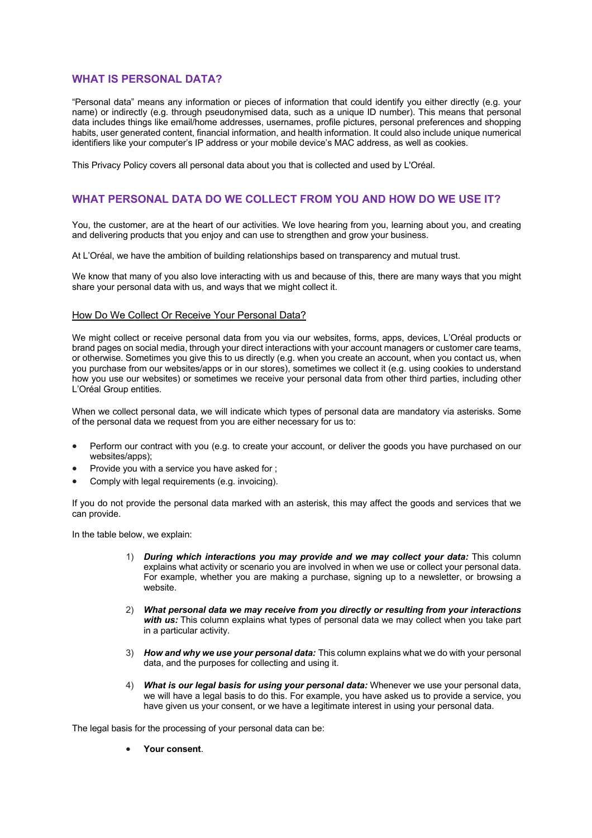# **WHAT IS PERSONAL DATA?**

"Personal data" means any information or pieces of information that could identify you either directly (e.g. your name) or indirectly (e.g. through pseudonymised data, such as a unique ID number). This means that personal data includes things like email/home addresses, usernames, profile pictures, personal preferences and shopping habits, user generated content, financial information, and health information. It could also include unique numerical identifiers like your computer's IP address or your mobile device's MAC address, as well as cookies.

This Privacy Policy covers all personal data about you that is collected and used by L'Oréal.

# **WHAT PERSONAL DATA DO WE COLLECT FROM YOU AND HOW DO WE USE IT?**

You, the customer, are at the heart of our activities. We love hearing from you, learning about you, and creating and delivering products that you enjoy and can use to strengthen and grow your business.

At L'Oréal, we have the ambition of building relationships based on transparency and mutual trust.

We know that many of you also love interacting with us and because of this, there are many ways that you might share your personal data with us, and ways that we might collect it.

## How Do We Collect Or Receive Your Personal Data?

We might collect or receive personal data from you via our websites, forms, apps, devices, L'Oréal products or brand pages on social media, through your direct interactions with your account managers or customer care teams, or otherwise. Sometimes you give this to us directly (e.g. when you create an account, when you contact us, when you purchase from our websites/apps or in our stores), sometimes we collect it (e.g. using cookies to understand how you use our websites) or sometimes we receive your personal data from other third parties, including other L'Oréal Group entities.

When we collect personal data, we will indicate which types of personal data are mandatory via asterisks. Some of the personal data we request from you are either necessary for us to:

- Perform our contract with you (e.g. to create your account, or deliver the goods you have purchased on our websites/apps);
- Provide you with a service you have asked for ;
- Comply with legal requirements (e.g. invoicing).

If you do not provide the personal data marked with an asterisk, this may affect the goods and services that we can provide.

In the table below, we explain:

- 1) *During which interactions you may provide and we may collect your data:* This column explains what activity or scenario you are involved in when we use or collect your personal data. For example, whether you are making a purchase, signing up to a newsletter, or browsing a website.
- 2) *What personal data we may receive from you directly or resulting from your interactions with us:* This column explains what types of personal data we may collect when you take part in a particular activity.
- 3) *How and why we use your personal data:* This column explains what we do with your personal data, and the purposes for collecting and using it.
- 4) *What is our legal basis for using your personal data:* Whenever we use your personal data, we will have a legal basis to do this. For example, you have asked us to provide a service, you have given us your consent, or we have a legitimate interest in using your personal data.

The legal basis for the processing of your personal data can be:

• **Your consent**.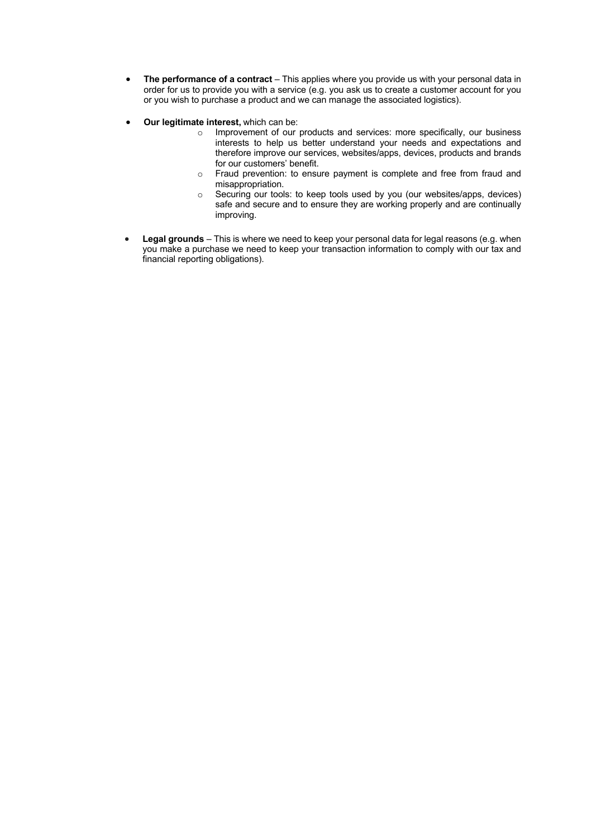- **The performance of a contract** This applies where you provide us with your personal data in order for us to provide you with a service (e.g. you ask us to create a customer account for you or you wish to purchase a product and we can manage the associated logistics).
- **Our legitimate interest,** which can be:
	- o Improvement of our products and services: more specifically, our business interests to help us better understand your needs and expectations and therefore improve our services, websites/apps, devices, products and brands for our customers' benefit.
	- o Fraud prevention: to ensure payment is complete and free from fraud and misappropriation.
	- o Securing our tools: to keep tools used by you (our websites/apps, devices) safe and secure and to ensure they are working properly and are continually improving.
- **Legal grounds** This is where we need to keep your personal data for legal reasons (e.g. when you make a purchase we need to keep your transaction information to comply with our tax and financial reporting obligations).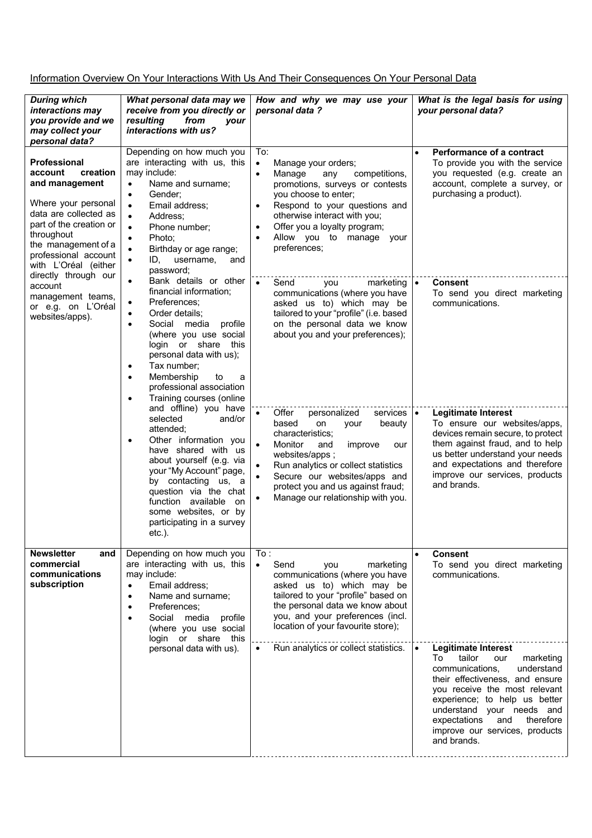Information Overview On Your Interactions With Us And Their Consequences On Your Personal Data

| <b>During which</b><br>interactions may<br>you provide and we<br>may collect your<br>personal data?                                                                                                                                                                                                                                                                                                                                                                                                                                                                                                                                                                                                                                                                                                                                                                                                                                                                                                                                                                                                                                                                                                                                                                                                                                                                  | What personal data may we<br>receive from you directly or<br>resulting<br>from<br><b>vour</b><br>interactions with us?                                                                                                                                                                                                                                             | How and why we may use your<br>personal data ?                                                                                                                                                                                                                                                                                        | What is the legal basis for using<br>your personal data?                                                                                                                                                                                                                                                                            |
|----------------------------------------------------------------------------------------------------------------------------------------------------------------------------------------------------------------------------------------------------------------------------------------------------------------------------------------------------------------------------------------------------------------------------------------------------------------------------------------------------------------------------------------------------------------------------------------------------------------------------------------------------------------------------------------------------------------------------------------------------------------------------------------------------------------------------------------------------------------------------------------------------------------------------------------------------------------------------------------------------------------------------------------------------------------------------------------------------------------------------------------------------------------------------------------------------------------------------------------------------------------------------------------------------------------------------------------------------------------------|--------------------------------------------------------------------------------------------------------------------------------------------------------------------------------------------------------------------------------------------------------------------------------------------------------------------------------------------------------------------|---------------------------------------------------------------------------------------------------------------------------------------------------------------------------------------------------------------------------------------------------------------------------------------------------------------------------------------|-------------------------------------------------------------------------------------------------------------------------------------------------------------------------------------------------------------------------------------------------------------------------------------------------------------------------------------|
| Depending on how much you<br>are interacting with us, this<br><b>Professional</b><br>may include:<br>account<br>creation<br>and management<br>Name and surname;<br>$\bullet$<br>Gender;<br>$\bullet$<br>Where your personal<br>Email address;<br>$\bullet$<br>data are collected as<br>Address;<br>$\bullet$<br>part of the creation or<br>Phone number;<br>$\bullet$<br>throughout<br>Photo;<br>$\bullet$<br>the management of a<br>Birthday or age range;<br>professional account<br>ID, username,<br>and<br>$\bullet$<br>with L'Oréal (either<br>password;<br>directly through our<br>Bank details or other<br>$\bullet$<br>account<br>financial information;<br>management teams,<br>Preferences;<br>$\bullet$<br>or e.g. on L'Oréal<br>Order details;<br>$\bullet$<br>websites/apps).<br>Social media profile<br>$\bullet$<br>(where you use social<br>login or share this<br>personal data with us);<br>Tax number;<br>٠<br>Membership<br>to<br>a<br>$\bullet$<br>professional association<br>Training courses (online<br>$\bullet$<br>and offline) you have<br>selected<br>and/or<br>attended;<br>Other information you<br>$\bullet$<br>have shared with us<br>about yourself (e.g. via<br>your "My Account" page,<br>by contacting us, a<br>question via the chat<br>function available<br>on<br>some websites, or by<br>participating in a survey<br>etc.). |                                                                                                                                                                                                                                                                                                                                                                    | To:<br>$\bullet$<br>Manage your orders;<br>Manage<br>competitions,<br>$\bullet$<br>any<br>promotions, surveys or contests<br>you choose to enter;<br>Respond to your questions and<br>$\bullet$<br>otherwise interact with you;<br>Offer you a loyalty program;<br>$\bullet$<br>Allow you to manage your<br>$\bullet$<br>preferences; | Performance of a contract<br>$\bullet$<br>To provide you with the service<br>you requested (e.g. create an<br>account, complete a survey, or<br>purchasing a product).                                                                                                                                                              |
|                                                                                                                                                                                                                                                                                                                                                                                                                                                                                                                                                                                                                                                                                                                                                                                                                                                                                                                                                                                                                                                                                                                                                                                                                                                                                                                                                                      | Send<br>$\bullet$<br>marketing $\bullet$<br>you<br>communications (where you have<br>asked us to) which may be<br>tailored to your "profile" (i.e. based<br>on the personal data we know<br>about you and your preferences);                                                                                                                                       | <b>Consent</b><br>To send you direct marketing<br>communications.                                                                                                                                                                                                                                                                     |                                                                                                                                                                                                                                                                                                                                     |
|                                                                                                                                                                                                                                                                                                                                                                                                                                                                                                                                                                                                                                                                                                                                                                                                                                                                                                                                                                                                                                                                                                                                                                                                                                                                                                                                                                      | Offer<br>$\bullet$<br>personalized<br>services   •<br>based<br>on<br>beauty<br>your<br>characteristics;<br>Monitor<br>and<br>improve<br>$\bullet$<br>our<br>websites/apps;<br>Run analytics or collect statistics<br>$\bullet$<br>Secure our websites/apps and<br>$\bullet$<br>protect you and us against fraud;<br>Manage our relationship with you.<br>$\bullet$ | <b>Legitimate Interest</b><br>To ensure our websites/apps,<br>devices remain secure, to protect<br>them against fraud, and to help<br>us better understand your needs<br>and expectations and therefore<br>improve our services, products<br>and brands.                                                                              |                                                                                                                                                                                                                                                                                                                                     |
| <b>Newsletter</b><br>and<br>commercial<br>communications<br>subscription                                                                                                                                                                                                                                                                                                                                                                                                                                                                                                                                                                                                                                                                                                                                                                                                                                                                                                                                                                                                                                                                                                                                                                                                                                                                                             | Depending on how much you<br>are interacting with us, this<br>may include:<br>Email address;<br>$\bullet$<br>Name and surname;<br>$\bullet$<br>Preferences;<br>$\bullet$<br>Social media profile<br>$\bullet$<br>(where you use social<br>login or share this                                                                                                      | To:<br>$\bullet$<br>Send<br>marketing<br>you<br>communications (where you have<br>asked us to) which may be<br>tailored to your "profile" based on<br>the personal data we know about<br>you, and your preferences (incl.<br>location of your favourite store);                                                                       | <b>Consent</b><br>$\bullet$<br>To send you direct marketing<br>communications.                                                                                                                                                                                                                                                      |
|                                                                                                                                                                                                                                                                                                                                                                                                                                                                                                                                                                                                                                                                                                                                                                                                                                                                                                                                                                                                                                                                                                                                                                                                                                                                                                                                                                      | personal data with us).                                                                                                                                                                                                                                                                                                                                            | Run analytics or collect statistics.<br>$\bullet$                                                                                                                                                                                                                                                                                     | <b>Legitimate Interest</b><br>$\bullet$<br>tailor<br>To<br>our<br>marketing<br>communications,<br>understand<br>their effectiveness, and ensure<br>you receive the most relevant<br>experience; to help us better<br>understand your needs and<br>expectations<br>and<br>therefore<br>improve our services, products<br>and brands. |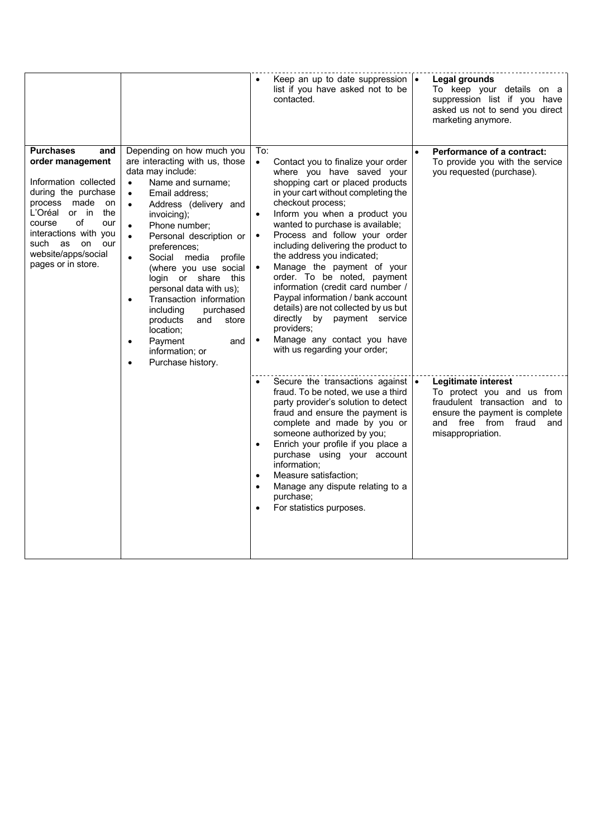|                                                                                                                                                                                                                                                                |                                                                                                                                                                                                                                                                                                                                                                                                                                                                                                                                                                                   |                                                                      | Keep an up to date suppression $\cdot$<br>list if you have asked not to be<br>contacted.                                                                                                                                                                                                                                                                                                                                                                                                                                                                                                                                               |           | Legal grounds<br>To keep your details on a<br>suppression list if you have<br>asked us not to send you direct<br>marketing anymore.                                           |
|----------------------------------------------------------------------------------------------------------------------------------------------------------------------------------------------------------------------------------------------------------------|-----------------------------------------------------------------------------------------------------------------------------------------------------------------------------------------------------------------------------------------------------------------------------------------------------------------------------------------------------------------------------------------------------------------------------------------------------------------------------------------------------------------------------------------------------------------------------------|----------------------------------------------------------------------|----------------------------------------------------------------------------------------------------------------------------------------------------------------------------------------------------------------------------------------------------------------------------------------------------------------------------------------------------------------------------------------------------------------------------------------------------------------------------------------------------------------------------------------------------------------------------------------------------------------------------------------|-----------|-------------------------------------------------------------------------------------------------------------------------------------------------------------------------------|
| <b>Purchases</b><br>and<br>order management<br>Information collected<br>during the purchase<br>made<br>process<br>on<br>L'Oréal or in<br>the<br>of<br>course<br>our<br>interactions with you<br>such as on<br>our<br>website/apps/social<br>pages or in store. | Depending on how much you<br>are interacting with us, those<br>data may include:<br>Name and surname;<br>$\bullet$<br>Email address;<br>$\bullet$<br>Address (delivery and<br>$\bullet$<br>invoicing);<br>Phone number;<br>Personal description or<br>$\bullet$<br>preferences;<br>Social media profile<br>$\bullet$<br>(where you use social<br>login or share this<br>personal data with us);<br>Transaction information<br>$\bullet$<br>purchased<br>including<br>products<br>and<br>store<br>location;<br>Payment<br>$\bullet$<br>and<br>information; or<br>Purchase history. | To:<br>$\bullet$<br>$\bullet$<br>$\bullet$<br>$\bullet$<br>$\bullet$ | Contact you to finalize your order<br>where you have saved your<br>shopping cart or placed products<br>in your cart without completing the<br>checkout process;<br>Inform you when a product you<br>wanted to purchase is available;<br>Process and follow your order<br>including delivering the product to<br>the address you indicated;<br>Manage the payment of your<br>order. To be noted, payment<br>information (credit card number /<br>Paypal information / bank account<br>details) are not collected by us but<br>directly by payment service<br>providers;<br>Manage any contact you have<br>with us regarding your order; | $\bullet$ | <b>Performance of a contract:</b><br>To provide you with the service<br>you requested (purchase).                                                                             |
|                                                                                                                                                                                                                                                                |                                                                                                                                                                                                                                                                                                                                                                                                                                                                                                                                                                                   | $\bullet$                                                            | Secure the transactions against $\cdot$<br>fraud. To be noted, we use a third<br>party provider's solution to detect<br>fraud and ensure the payment is<br>complete and made by you or<br>someone authorized by you;<br>Enrich your profile if you place a<br>purchase using your account<br>information:<br>Measure satisfaction;<br>Manage any dispute relating to a<br>purchase;<br>For statistics purposes.                                                                                                                                                                                                                        |           | Legitimate interest<br>To protect you and us from<br>fraudulent transaction and to<br>ensure the payment is complete<br>and free<br>from<br>fraud<br>and<br>misappropriation. |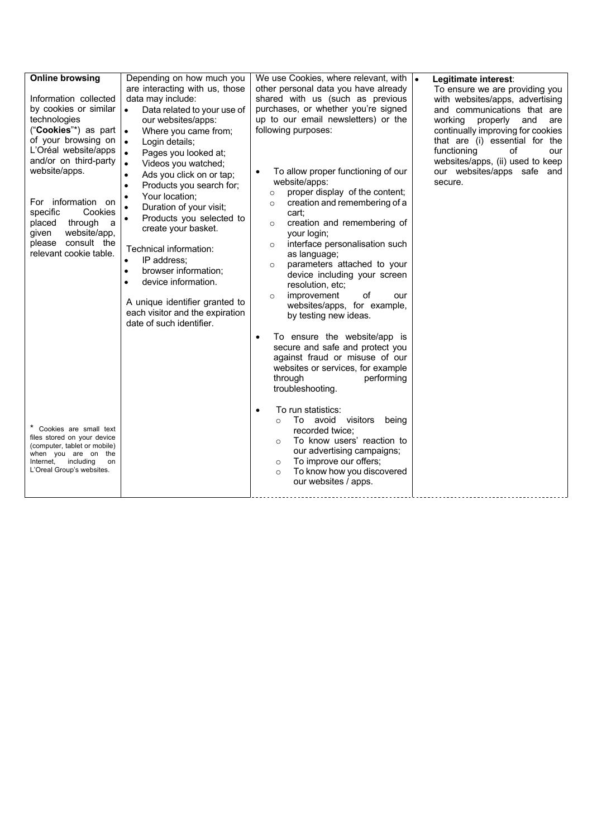| <b>Online browsing</b><br>Information collected<br>by cookies or similar<br>technologies<br>("Cookies"*) as part<br>of your browsing on<br>L'Oréal website/apps<br>and/or on third-party<br>website/apps.<br>For information on<br>specific<br>Cookies<br>through<br>placed<br>a<br>website/app,<br>given<br>consult the<br>please<br>relevant cookie table. | Depending on how much you<br>are interacting with us, those<br>data may include:<br>$\bullet$<br>Data related to your use of<br>our websites/apps:<br>Where you came from;<br>$\bullet$<br>$\bullet$<br>Login details;<br>Pages you looked at;<br>$\bullet$<br>Videos you watched;<br>$\bullet$<br>Ads you click on or tap;<br>$\bullet$<br>Products you search for;<br>Your location;<br>Duration of your visit;<br>$\bullet$<br>Products you selected to<br>create your basket.<br>Technical information:<br>IP address;<br>$\bullet$<br>browser information;<br>$\bullet$<br>device information.<br>A unique identifier granted to<br>each visitor and the expiration<br>date of such identifier. | We use Cookies, where relevant, with $\left  \bullet \right $<br>other personal data you have already<br>shared with us (such as previous<br>purchases, or whether you're signed<br>up to our email newsletters) or the<br>following purposes:<br>To allow proper functioning of our<br>$\bullet$<br>website/apps:<br>proper display of the content;<br>$\circ$<br>creation and remembering of a<br>$\circ$<br>cart:<br>creation and remembering of<br>$\circ$<br>your login;<br>interface personalisation such<br>$\circ$<br>as language;<br>parameters attached to your<br>$\circ$<br>device including your screen<br>resolution, etc;<br>improvement<br>of<br>our<br>$\circ$<br>websites/apps, for example,<br>by testing new ideas. | Legitimate interest:<br>To ensure we are providing you<br>with websites/apps, advertising<br>and communications that are<br>working<br>properly<br>and<br>are<br>continually improving for cookies<br>that are (i) essential for the<br>functioning<br>οf<br>our<br>websites/apps, (ii) used to keep<br>our websites/apps safe and<br>secure. |
|--------------------------------------------------------------------------------------------------------------------------------------------------------------------------------------------------------------------------------------------------------------------------------------------------------------------------------------------------------------|------------------------------------------------------------------------------------------------------------------------------------------------------------------------------------------------------------------------------------------------------------------------------------------------------------------------------------------------------------------------------------------------------------------------------------------------------------------------------------------------------------------------------------------------------------------------------------------------------------------------------------------------------------------------------------------------------|-----------------------------------------------------------------------------------------------------------------------------------------------------------------------------------------------------------------------------------------------------------------------------------------------------------------------------------------------------------------------------------------------------------------------------------------------------------------------------------------------------------------------------------------------------------------------------------------------------------------------------------------------------------------------------------------------------------------------------------------|-----------------------------------------------------------------------------------------------------------------------------------------------------------------------------------------------------------------------------------------------------------------------------------------------------------------------------------------------|
| * Cookies are small text<br>files stored on your device                                                                                                                                                                                                                                                                                                      |                                                                                                                                                                                                                                                                                                                                                                                                                                                                                                                                                                                                                                                                                                      | To ensure the website/app is<br>$\bullet$<br>secure and safe and protect you<br>against fraud or misuse of our<br>websites or services, for example<br>through<br>performing<br>troubleshooting.<br>To run statistics:<br>$\bullet$<br>To avoid<br>visitors<br>being<br>$\Omega$<br>recorded twice:<br>To know users' reaction to<br>$\circ$                                                                                                                                                                                                                                                                                                                                                                                            |                                                                                                                                                                                                                                                                                                                                               |
| (computer, tablet or mobile)<br>when you are on<br>the<br>including<br>Internet,<br>on<br>L'Oreal Group's websites.                                                                                                                                                                                                                                          |                                                                                                                                                                                                                                                                                                                                                                                                                                                                                                                                                                                                                                                                                                      | our advertising campaigns;<br>To improve our offers;<br>$\circ$<br>To know how you discovered<br>$\circ$<br>our websites / apps.                                                                                                                                                                                                                                                                                                                                                                                                                                                                                                                                                                                                        |                                                                                                                                                                                                                                                                                                                                               |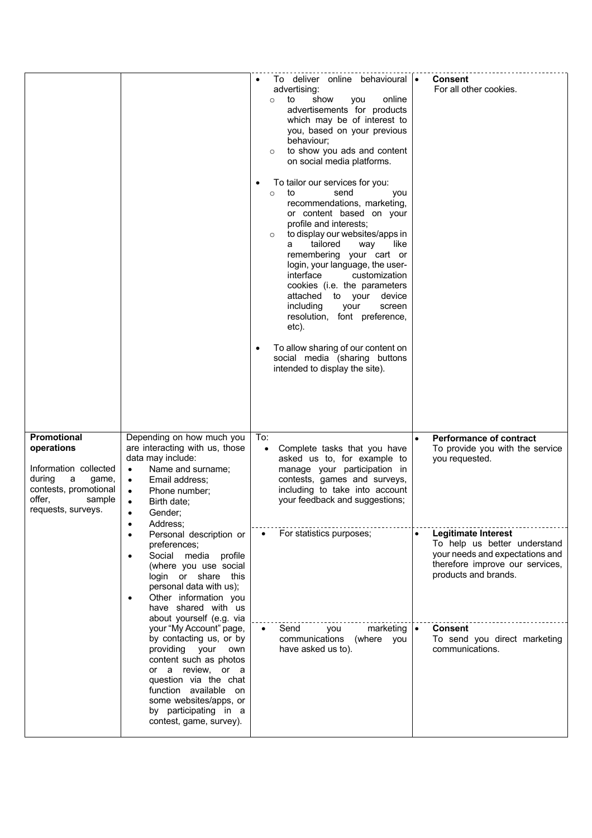|                                                                                                                                                                                                                             |                                                                                                                                                                                                                                                            | To deliver online behavioural .<br>advertising:<br>show<br>online<br>to<br>you<br>$\circ$<br>advertisements for products<br>which may be of interest to<br>you, based on your previous<br>behaviour;<br>to show you ads and content<br>$\circ$<br>on social media platforms.<br>To tailor our services for you:<br>to<br>send<br>$\circ$<br>you<br>recommendations, marketing,<br>or content based on your<br>profile and interests;<br>to display our websites/apps in<br>$\circ$<br>tailored<br>way<br>like<br>a<br>remembering your cart or<br>login, your language, the user-<br>interface<br>customization<br>cookies (i.e. the parameters<br>attached to your<br>device<br>including<br>screen<br>your<br>resolution, font preference,<br>etc).<br>To allow sharing of our content on<br>social media (sharing buttons<br>intended to display the site). | Consent<br>For all other cookies.                                                                |
|-----------------------------------------------------------------------------------------------------------------------------------------------------------------------------------------------------------------------------|------------------------------------------------------------------------------------------------------------------------------------------------------------------------------------------------------------------------------------------------------------|----------------------------------------------------------------------------------------------------------------------------------------------------------------------------------------------------------------------------------------------------------------------------------------------------------------------------------------------------------------------------------------------------------------------------------------------------------------------------------------------------------------------------------------------------------------------------------------------------------------------------------------------------------------------------------------------------------------------------------------------------------------------------------------------------------------------------------------------------------------|--------------------------------------------------------------------------------------------------|
| Promotional<br>operations<br>Information collected<br>during<br>a<br>game,<br>contests, promotional<br>offer,<br>sample<br>requests, surveys.                                                                               | Depending on how much you<br>are interacting with us, those<br>data may include:<br>Name and surname;<br>$\bullet$<br>Email address;<br>$\bullet$<br>Phone number;<br>$\bullet$<br>Birth date:<br>$\bullet$<br>Gender;<br>Address;<br>٠                    | To:<br>Complete tasks that you have<br>asked us to, for example to<br>manage your participation in<br>contests, games and surveys,<br>including to take into account<br>your feedback and suggestions;                                                                                                                                                                                                                                                                                                                                                                                                                                                                                                                                                                                                                                                         | <b>Performance of contract</b><br>$\bullet$<br>To provide you with the service<br>you requested. |
| Personal description or<br>٠<br>preferences;<br>Social media profile<br>(where you use social<br>login or share this<br>personal data with us);<br>Other information you<br>have shared with us<br>about yourself (e.g. via | For statistics purposes;                                                                                                                                                                                                                                   | <b>Legitimate Interest</b><br>$\bullet$<br>To help us better understand<br>your needs and expectations and<br>therefore improve our services,<br>products and brands.                                                                                                                                                                                                                                                                                                                                                                                                                                                                                                                                                                                                                                                                                          |                                                                                                  |
|                                                                                                                                                                                                                             | your "My Account" page,<br>by contacting us, or by<br>providing your<br>own<br>content such as photos<br>or a review, or a<br>question via the chat<br>function available on<br>some websites/apps, or<br>by participating in a<br>contest, game, survey). | Send<br>marketing<br>you<br>communications<br>(where you<br>have asked us to).                                                                                                                                                                                                                                                                                                                                                                                                                                                                                                                                                                                                                                                                                                                                                                                 | <b>Consent</b><br>I۰<br>To send you direct marketing<br>communications.                          |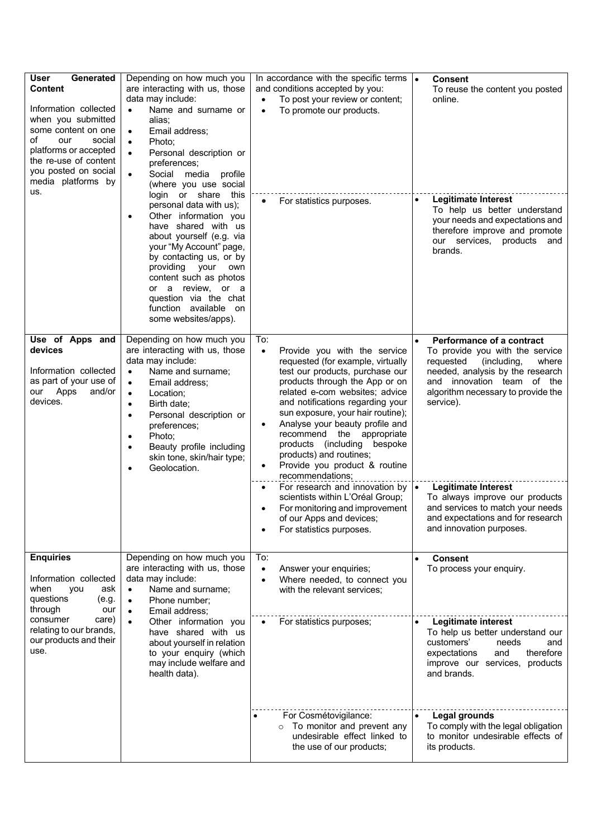| <b>User</b><br>Generated<br><b>Content</b><br>Information collected<br>when you submitted<br>some content on one<br>of<br>our<br>social<br>platforms or accepted<br>the re-use of content<br>you posted on social<br>media platforms by<br>us. | Depending on how much you<br>are interacting with us, those<br>data may include:<br>Name and surname or<br>$\bullet$<br>alias:<br>Email address;<br>$\bullet$<br>Photo:<br>$\bullet$<br>Personal description or<br>$\bullet$<br>preferences;<br>Social media<br>$\bullet$<br>profile<br>(where you use social<br>login or share<br>this                                                    | In accordance with the specific terms $\cdot$<br>and conditions accepted by you:<br>To post your review or content;<br>To promote our products.<br>$\bullet$                                                                                                                                                                                                                                                                                                                                        | <b>Consent</b><br>To reuse the content you posted<br>online.                                                                                                                                                                                         |
|------------------------------------------------------------------------------------------------------------------------------------------------------------------------------------------------------------------------------------------------|--------------------------------------------------------------------------------------------------------------------------------------------------------------------------------------------------------------------------------------------------------------------------------------------------------------------------------------------------------------------------------------------|-----------------------------------------------------------------------------------------------------------------------------------------------------------------------------------------------------------------------------------------------------------------------------------------------------------------------------------------------------------------------------------------------------------------------------------------------------------------------------------------------------|------------------------------------------------------------------------------------------------------------------------------------------------------------------------------------------------------------------------------------------------------|
|                                                                                                                                                                                                                                                | personal data with us);<br>Other information you<br>$\bullet$<br>have shared with us<br>about yourself (e.g. via<br>your "My Account" page,<br>by contacting us, or by<br>providing<br>your<br>own<br>content such as photos<br>a review, or a<br>or<br>question via the chat<br>function available<br>on<br>some websites/apps).                                                          | For statistics purposes.                                                                                                                                                                                                                                                                                                                                                                                                                                                                            | <b>Legitimate Interest</b><br>$\bullet$<br>To help us better understand<br>your needs and expectations and<br>therefore improve and promote<br>our services,<br>products and<br>brands.                                                              |
| Use of Apps and<br>devices<br>Information collected<br>as part of your use of<br>Apps<br>and/or<br>our<br>devices.                                                                                                                             | Depending on how much you<br>are interacting with us, those<br>data may include:<br>Name and surname;<br>$\bullet$<br>Email address;<br>$\bullet$<br>Location;<br>$\bullet$<br>Birth date:<br>$\bullet$<br>Personal description or<br>$\bullet$<br>preferences;<br>Photo:<br>$\bullet$<br>Beauty profile including<br>$\bullet$<br>skin tone, skin/hair type;<br>Geolocation.<br>$\bullet$ | To:<br>Provide you with the service<br>$\bullet$<br>requested (for example, virtually<br>test our products, purchase our<br>products through the App or on<br>related e-com websites; advice<br>and notifications regarding your<br>sun exposure, your hair routine);<br>Analyse your beauty profile and<br>recommend the appropriate<br>products (including bespoke<br>products) and routines;<br>Provide you product & routine<br>٠<br>recommendations;<br>For research and innovation by $\cdot$ | Performance of a contract<br>To provide you with the service<br>requested<br>(including,<br>where<br>needed, analysis by the research<br>and innovation team of the<br>algorithm necessary to provide the<br>service).<br><b>Legitimate Interest</b> |
|                                                                                                                                                                                                                                                |                                                                                                                                                                                                                                                                                                                                                                                            | scientists within L'Oréal Group;<br>For monitoring and improvement<br>of our Apps and devices;<br>For statistics purposes.                                                                                                                                                                                                                                                                                                                                                                          | To always improve our products<br>and services to match your needs<br>and expectations and for research<br>and innovation purposes.                                                                                                                  |
| <b>Enquiries</b><br>Information collected<br>when<br>you<br>ask<br>questions<br>(e.g.<br>through<br>our                                                                                                                                        | Depending on how much you<br>are interacting with us, those<br>data may include:<br>Name and surname;<br>$\bullet$<br>Phone number;<br>$\bullet$<br>Email address;<br>$\bullet$                                                                                                                                                                                                            | To:<br>Answer your enquiries;<br>$\bullet$<br>Where needed, to connect you<br>$\bullet$<br>with the relevant services;                                                                                                                                                                                                                                                                                                                                                                              | <b>Consent</b><br>$\bullet$<br>To process your enquiry.                                                                                                                                                                                              |
| consumer<br>care)<br>relating to our brands,<br>our products and their<br>use.                                                                                                                                                                 | Other information you<br>$\bullet$<br>have shared with us<br>about yourself in relation<br>to your enquiry (which<br>may include welfare and<br>health data).                                                                                                                                                                                                                              | For statistics purposes;                                                                                                                                                                                                                                                                                                                                                                                                                                                                            | <b>Legitimate interest</b><br>$\bullet$<br>To help us better understand our<br>customers'<br>needs<br>and<br>expectations<br>and<br>therefore<br>improve our services, products<br>and brands.                                                       |
|                                                                                                                                                                                                                                                |                                                                                                                                                                                                                                                                                                                                                                                            | For Cosmétovigilance:<br>To monitor and prevent any<br>undesirable effect linked to<br>the use of our products;                                                                                                                                                                                                                                                                                                                                                                                     | Legal grounds<br>$\bullet$<br>To comply with the legal obligation<br>to monitor undesirable effects of<br>its products.                                                                                                                              |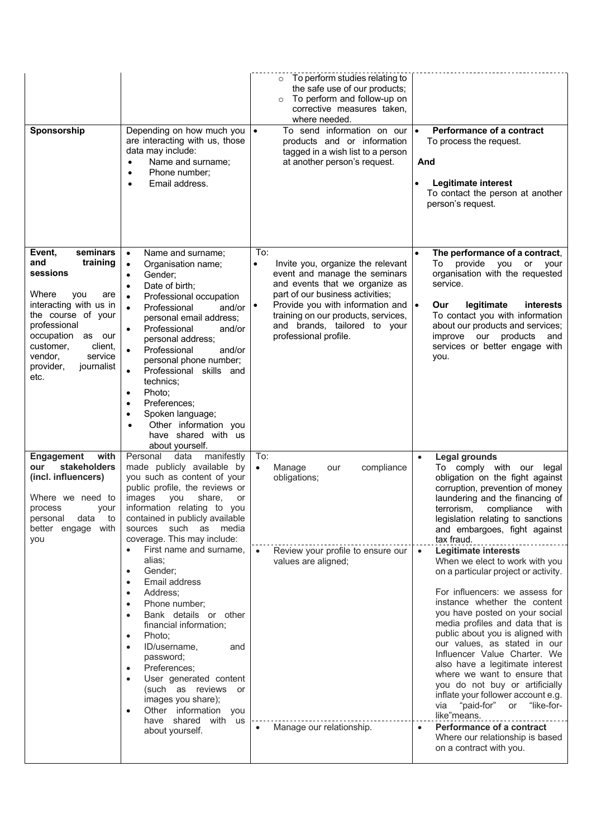| Sponsorship                                                                                                                                                                                                                                       | Depending on how much you<br>are interacting with us, those<br>data may include:<br>Name and surname;<br>$\bullet$<br>Phone number;<br>$\bullet$<br>Email address.<br>$\bullet$                                                                                                                                                                                                                                                                                                                                                                                                                                                                                                                                                                               | $\circ$ To perform studies relating to<br>the safe use of our products;<br>To perform and follow-up on<br>$\circ$<br>corrective measures taken,<br>where needed.<br>To send information on our<br>$\bullet$<br>products and or information<br>tagged in a wish list to a person<br>at another person's request. | <b>Performance of a contract</b><br>$\bullet$<br>To process the request.<br>And<br><b>Legitimate interest</b><br>To contact the person at another<br>person's request.                                                                                                                                                                                                                                                                                                                                                                                                                                                                                                                                                                                                                                                                                                                                                                                                           |
|---------------------------------------------------------------------------------------------------------------------------------------------------------------------------------------------------------------------------------------------------|---------------------------------------------------------------------------------------------------------------------------------------------------------------------------------------------------------------------------------------------------------------------------------------------------------------------------------------------------------------------------------------------------------------------------------------------------------------------------------------------------------------------------------------------------------------------------------------------------------------------------------------------------------------------------------------------------------------------------------------------------------------|-----------------------------------------------------------------------------------------------------------------------------------------------------------------------------------------------------------------------------------------------------------------------------------------------------------------|----------------------------------------------------------------------------------------------------------------------------------------------------------------------------------------------------------------------------------------------------------------------------------------------------------------------------------------------------------------------------------------------------------------------------------------------------------------------------------------------------------------------------------------------------------------------------------------------------------------------------------------------------------------------------------------------------------------------------------------------------------------------------------------------------------------------------------------------------------------------------------------------------------------------------------------------------------------------------------|
| seminars<br>Event,<br>and<br>training<br>sessions<br>Where<br>you<br>are<br>interacting with us in<br>the course of your<br>professional<br>occupation<br>as our<br>customer,<br>client,<br>vendor,<br>service<br>provider,<br>journalist<br>etc. | Name and surname;<br>$\bullet$<br>Organisation name;<br>$\bullet$<br>Gender;<br>$\bullet$<br>Date of birth;<br>$\bullet$<br>Professional occupation<br>$\bullet$<br>Professional<br>and/or<br>$\bullet$<br>personal email address;<br>Professional<br>and/or<br>٠<br>personal address;<br>Professional<br>$\bullet$<br>and/or<br>personal phone number;<br>Professional skills and<br>$\bullet$<br>technics:<br>Photo:<br>$\bullet$<br>Preferences;<br>$\bullet$<br>Spoken language;<br>$\bullet$<br>Other information you<br>have shared with us<br>about yourself.                                                                                                                                                                                          | To:<br>Invite you, organize the relevant<br>$\bullet$<br>event and manage the seminars<br>and events that we organize as<br>part of our business activities;<br>Provide you with information and<br>$\bullet$<br>training on our products, services,<br>and brands, tailored to your<br>professional profile.   | The performance of a contract,<br>To provide<br>you<br>or<br>your<br>organisation with the requested<br>service.<br>legitimate<br>interests<br>Our<br>To contact you with information<br>about our products and services;<br>improve our products<br>and<br>services or better engage with<br>you.                                                                                                                                                                                                                                                                                                                                                                                                                                                                                                                                                                                                                                                                               |
| <b>Engagement</b><br>with<br>stakeholders<br>our<br>(incl. influencers)<br>Where we need to<br>process<br>your<br>personal<br>data<br>to<br>better engage<br>with<br>you                                                                          | Personal<br>data<br>manifestly<br>made publicly available by<br>you such as content of your<br>public profile, the reviews or<br>images<br>you<br>share,<br>or<br>information relating to you<br>contained in publicly available<br>such<br>media<br>sources<br>as<br>coverage. This may include:<br>First name and surname,<br>alias;<br>Gender:<br>$\bullet$<br>Email address<br>$\bullet$<br>Address:<br>٠<br>Phone number;<br>Bank details or other<br>$\bullet$<br>financial information;<br>Photo:<br>$\bullet$<br>ID/username,<br>and<br>password;<br>Preferences;<br>$\bullet$<br>User generated content<br>$\bullet$<br>(such as reviews or<br>images you share);<br>Other information you<br>$\bullet$<br>have shared<br>with us<br>about yourself. | To:<br>compliance<br>$\bullet$<br>Manage<br>our<br>obligations;<br>Review your profile to ensure our<br>values are aligned;<br>Manage our relationship.                                                                                                                                                         | <b>Legal grounds</b><br>$\bullet$<br>To comply with our legal<br>obligation on the fight against<br>corruption, prevention of money<br>laundering and the financing of<br>terrorism,<br>compliance<br>with<br>legislation relating to sanctions<br>and embargoes, fight against<br>tax fraud.<br><b>Legitimate interests</b><br>$\bullet$<br>When we elect to work with you<br>on a particular project or activity.<br>For influencers: we assess for<br>instance whether the content<br>you have posted on your social<br>media profiles and data that is<br>public about you is aligned with<br>our values, as stated in our<br>Influencer Value Charter. We<br>also have a legitimate interest<br>where we want to ensure that<br>you do not buy or artificially<br>inflate your follower account e.g.<br>"paid-for"<br>"like-for-<br>via<br>or<br>like"means.<br><b>Performance of a contract</b><br>$\bullet$<br>Where our relationship is based<br>on a contract with you. |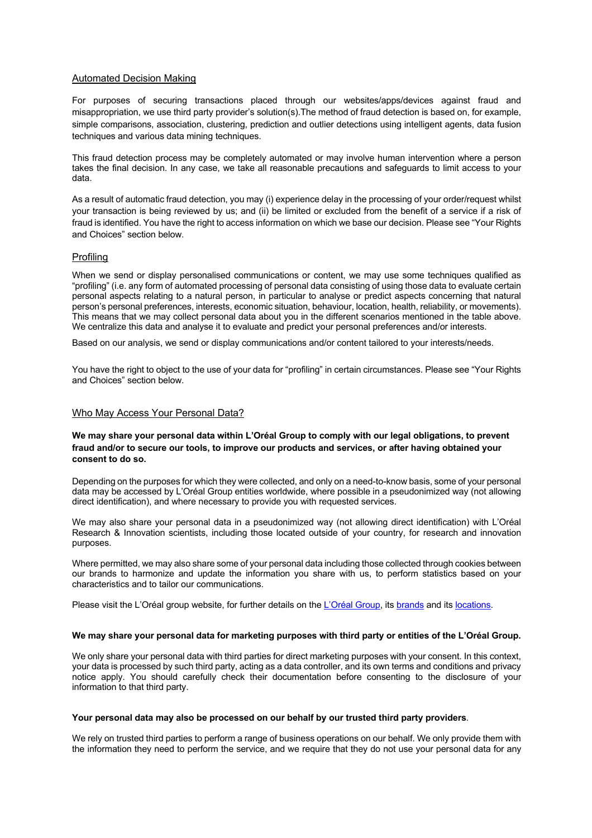## Automated Decision Making

For purposes of securing transactions placed through our websites/apps/devices against fraud and misappropriation, we use third party provider's solution(s).The method of fraud detection is based on, for example, simple comparisons, association, clustering, prediction and outlier detections using intelligent agents, data fusion techniques and various data mining techniques.

This fraud detection process may be completely automated or may involve human intervention where a person takes the final decision. In any case, we take all reasonable precautions and safeguards to limit access to your data.

As a result of automatic fraud detection, you may (i) experience delay in the processing of your order/request whilst your transaction is being reviewed by us; and (ii) be limited or excluded from the benefit of a service if a risk of fraud is identified. You have the right to access information on which we base our decision. Please see "Your Rights and Choices" section below.

## Profiling

When we send or display personalised communications or content, we may use some techniques qualified as "profiling" (i.e. any form of automated processing of personal data consisting of using those data to evaluate certain personal aspects relating to a natural person, in particular to analyse or predict aspects concerning that natural person's personal preferences, interests, economic situation, behaviour, location, health, reliability, or movements). This means that we may collect personal data about you in the different scenarios mentioned in the table above. We centralize this data and analyse it to evaluate and predict your personal preferences and/or interests.

Based on our analysis, we send or display communications and/or content tailored to your interests/needs.

You have the right to object to the use of your data for "profiling" in certain circumstances. Please see "Your Rights and Choices" section below.

## Who May Access Your Personal Data?

## **We may share your personal data within L'Oréal Group to comply with our legal obligations, to prevent fraud and/or to secure our tools, to improve our products and services, or after having obtained your consent to do so.**

Depending on the purposes for which they were collected, and only on a need-to-know basis, some of your personal data may be accessed by L'Oréal Group entities worldwide, where possible in a pseudonimized way (not allowing direct identification), and where necessary to provide you with requested services.

We may also share your personal data in a pseudonimized way (not allowing direct identification) with L'Oréal Research & Innovation scientists, including those located outside of your country, for research and innovation purposes.

Where permitted, we may also share some of your personal data including those collected through cookies between our brands to harmonize and update the information you share with us, to perform statistics based on your characteristics and to tailor our communications.

Please visit the L'Oréal group website, for further details on the L'Oréal Group, its brands and its locations.

## **We may share your personal data for marketing purposes with third party or entities of the L'Oréal Group.**

We only share your personal data with third parties for direct marketing purposes with your consent. In this context, your data is processed by such third party, acting as a data controller, and its own terms and conditions and privacy notice apply. You should carefully check their documentation before consenting to the disclosure of your information to that third party.

#### **Your personal data may also be processed on our behalf by our trusted third party providers**.

We rely on trusted third parties to perform a range of business operations on our behalf. We only provide them with the information they need to perform the service, and we require that they do not use your personal data for any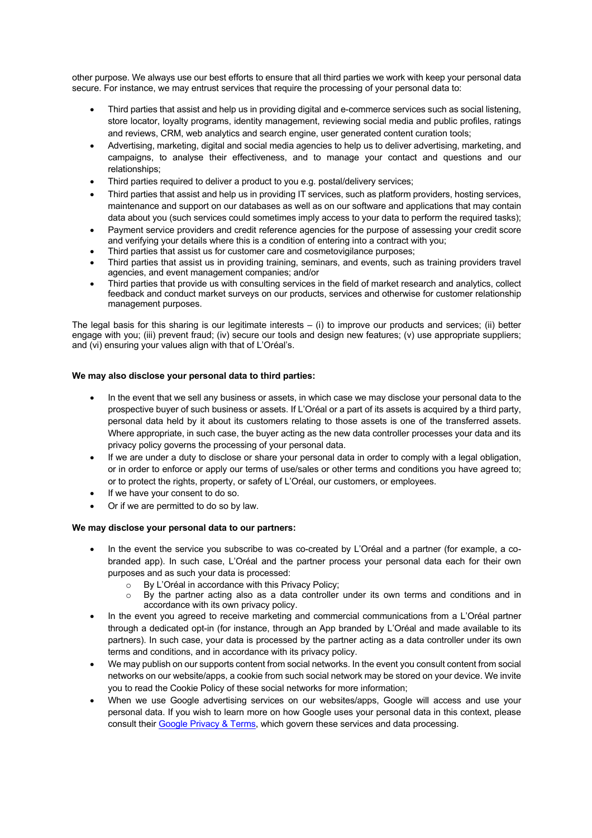other purpose. We always use our best efforts to ensure that all third parties we work with keep your personal data secure. For instance, we may entrust services that require the processing of your personal data to:

- Third parties that assist and help us in providing digital and e-commerce services such as social listening, store locator, loyalty programs, identity management, reviewing social media and public profiles, ratings and reviews, CRM, web analytics and search engine, user generated content curation tools;
- Advertising, marketing, digital and social media agencies to help us to deliver advertising, marketing, and campaigns, to analyse their effectiveness, and to manage your contact and questions and our relationships;
- Third parties required to deliver a product to you e.g. postal/delivery services;
- Third parties that assist and help us in providing IT services, such as platform providers, hosting services, maintenance and support on our databases as well as on our software and applications that may contain data about you (such services could sometimes imply access to your data to perform the required tasks);
- Payment service providers and credit reference agencies for the purpose of assessing your credit score and verifying your details where this is a condition of entering into a contract with you;
- Third parties that assist us for customer care and cosmetovigilance purposes;
- Third parties that assist us in providing training, seminars, and events, such as training providers travel agencies, and event management companies; and/or
- Third parties that provide us with consulting services in the field of market research and analytics, collect feedback and conduct market surveys on our products, services and otherwise for customer relationship management purposes.

The legal basis for this sharing is our legitimate interests – (i) to improve our products and services; (ii) better engage with you; (iii) prevent fraud; (iv) secure our tools and design new features; (v) use appropriate suppliers; and (vi) ensuring your values align with that of L'Oréal's.

# **We may also disclose your personal data to third parties:**

- In the event that we sell any business or assets, in which case we may disclose your personal data to the prospective buyer of such business or assets. If L'Oréal or a part of its assets is acquired by a third party, personal data held by it about its customers relating to those assets is one of the transferred assets. Where appropriate, in such case, the buyer acting as the new data controller processes your data and its privacy policy governs the processing of your personal data.
- If we are under a duty to disclose or share your personal data in order to comply with a legal obligation, or in order to enforce or apply our terms of use/sales or other terms and conditions you have agreed to; or to protect the rights, property, or safety of L'Oréal, our customers, or employees.
- If we have your consent to do so.
- Or if we are permitted to do so by law.

# **We may disclose your personal data to our partners:**

- In the event the service you subscribe to was co-created by L'Oréal and a partner (for example, a cobranded app). In such case, L'Oréal and the partner process your personal data each for their own purposes and as such your data is processed:
	- o By L'Oréal in accordance with this Privacy Policy;
	- By the partner acting also as a data controller under its own terms and conditions and in accordance with its own privacy policy.
- In the event you agreed to receive marketing and commercial communications from a L'Oréal partner through a dedicated opt-in (for instance, through an App branded by L'Oréal and made available to its partners). In such case, your data is processed by the partner acting as a data controller under its own terms and conditions, and in accordance with its privacy policy.
- We may publish on our supports content from social networks. In the event you consult content from social networks on our website/apps, a cookie from such social network may be stored on your device. We invite you to read the Cookie Policy of these social networks for more information;
- When we use Google advertising services on our websites/apps, Google will access and use your personal data. If you wish to learn more on how Google uses your personal data in this context, please consult their Google Privacy & Terms, which govern these services and data processing.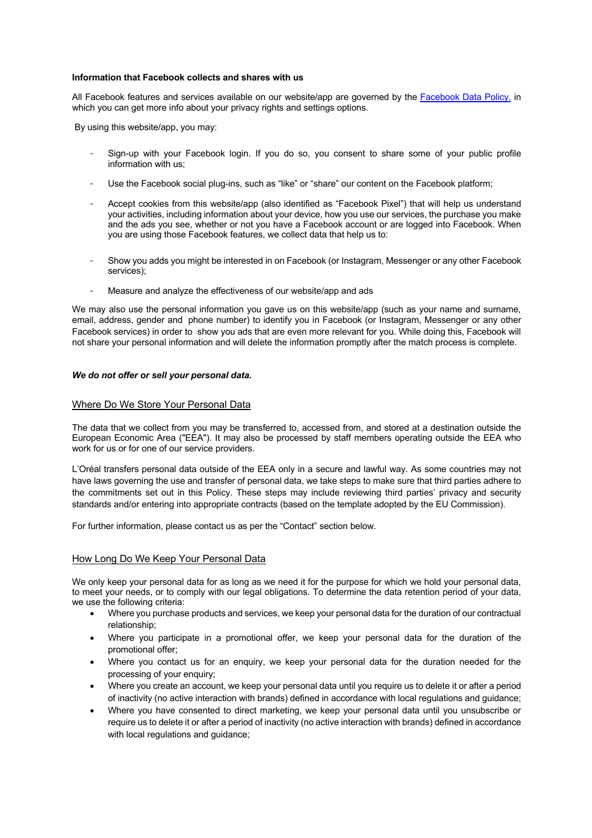## **Information that Facebook collects and shares with us**

All Facebook features and services available on our website/app are governed by the Facebook Data Policy, in which you can get more info about your privacy rights and settings options.

By using this website/app, you may:

- Sign-up with your Facebook login. If you do so, you consent to share some of your public profile information with us;
- Use the Facebook social plug-ins, such as "like" or "share" our content on the Facebook platform;
- Accept cookies from this website/app (also identified as "Facebook Pixel") that will help us understand your activities, including information about your device, how you use our services, the purchase you make and the ads you see, whether or not you have a Facebook account or are logged into Facebook. When you are using those Facebook features, we collect data that help us to:
- Show you adds you might be interested in on Facebook (or Instagram, Messenger or any other Facebook services);
- Measure and analyze the effectiveness of our website/app and ads

We may also use the personal information you gave us on this website/app (such as your name and surname, email, address, gender and phone number) to identify you in Facebook (or Instagram, Messenger or any other Facebook services) in order to show you ads that are even more relevant for you. While doing this, Facebook will not share your personal information and will delete the information promptly after the match process is complete.

## *We do not offer or sell your personal data.*

## Where Do We Store Your Personal Data

The data that we collect from you may be transferred to, accessed from, and stored at a destination outside the European Economic Area ("EEA"). It may also be processed by staff members operating outside the EEA who work for us or for one of our service providers.

L'Oréal transfers personal data outside of the EEA only in a secure and lawful way. As some countries may not have laws governing the use and transfer of personal data, we take steps to make sure that third parties adhere to the commitments set out in this Policy. These steps may include reviewing third parties' privacy and security standards and/or entering into appropriate contracts (based on the template adopted by the EU Commission).

For further information, please contact us as per the "Contact" section below.

## How Long Do We Keep Your Personal Data

We only keep your personal data for as long as we need it for the purpose for which we hold your personal data, to meet your needs, or to comply with our legal obligations. To determine the data retention period of your data, we use the following criteria:

- Where you purchase products and services, we keep your personal data for the duration of our contractual relationship;
- Where you participate in a promotional offer, we keep your personal data for the duration of the promotional offer;
- Where you contact us for an enquiry, we keep your personal data for the duration needed for the processing of your enquiry;
- Where you create an account, we keep your personal data until you require us to delete it or after a period of inactivity (no active interaction with brands) defined in accordance with local regulations and guidance;
- Where you have consented to direct marketing, we keep your personal data until you unsubscribe or require us to delete it or after a period of inactivity (no active interaction with brands) defined in accordance with local regulations and guidance: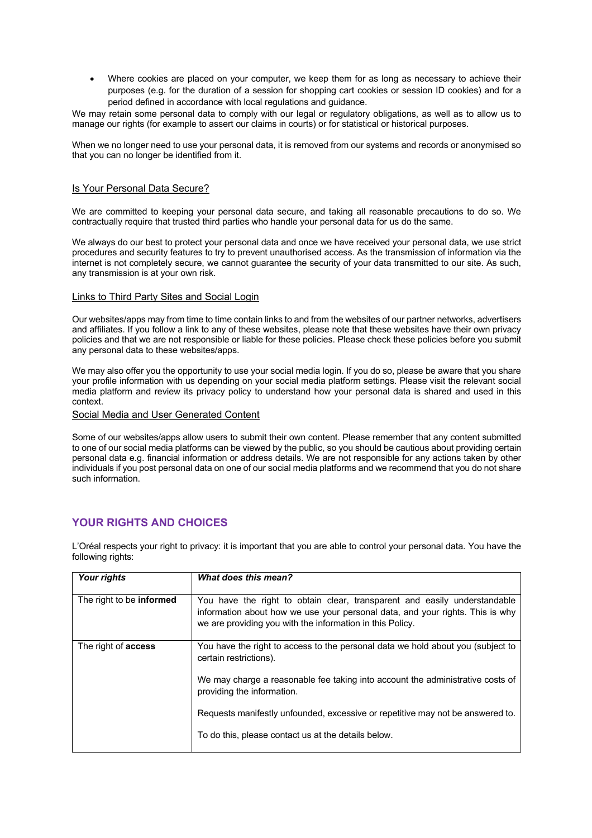• Where cookies are placed on your computer, we keep them for as long as necessary to achieve their purposes (e.g. for the duration of a session for shopping cart cookies or session ID cookies) and for a period defined in accordance with local regulations and guidance.

We may retain some personal data to comply with our legal or regulatory obligations, as well as to allow us to manage our rights (for example to assert our claims in courts) or for statistical or historical purposes.

When we no longer need to use your personal data, it is removed from our systems and records or anonymised so that you can no longer be identified from it.

# Is Your Personal Data Secure?

We are committed to keeping your personal data secure, and taking all reasonable precautions to do so. We contractually require that trusted third parties who handle your personal data for us do the same.

We always do our best to protect your personal data and once we have received your personal data, we use strict procedures and security features to try to prevent unauthorised access. As the transmission of information via the internet is not completely secure, we cannot guarantee the security of your data transmitted to our site. As such, any transmission is at your own risk.

## Links to Third Party Sites and Social Login

Our websites/apps may from time to time contain links to and from the websites of our partner networks, advertisers and affiliates. If you follow a link to any of these websites, please note that these websites have their own privacy policies and that we are not responsible or liable for these policies. Please check these policies before you submit any personal data to these websites/apps.

We may also offer you the opportunity to use your social media login. If you do so, please be aware that you share your profile information with us depending on your social media platform settings. Please visit the relevant social media platform and review its privacy policy to understand how your personal data is shared and used in this context.

Social Media and User Generated Content

Some of our websites/apps allow users to submit their own content. Please remember that any content submitted to one of our social media platforms can be viewed by the public, so you should be cautious about providing certain personal data e.g. financial information or address details. We are not responsible for any actions taken by other individuals if you post personal data on one of our social media platforms and we recommend that you do not share such information.

# **YOUR RIGHTS AND CHOICES**

| Your rights                     | What does this mean?                                                                                                                                                                                                    |
|---------------------------------|-------------------------------------------------------------------------------------------------------------------------------------------------------------------------------------------------------------------------|
| The right to be <b>informed</b> | You have the right to obtain clear, transparent and easily understandable<br>information about how we use your personal data, and your rights. This is why<br>we are providing you with the information in this Policy. |
| The right of <b>access</b>      | You have the right to access to the personal data we hold about you (subject to<br>certain restrictions).                                                                                                               |
|                                 | We may charge a reasonable fee taking into account the administrative costs of<br>providing the information.                                                                                                            |
|                                 | Requests manifestly unfounded, excessive or repetitive may not be answered to.                                                                                                                                          |
|                                 | To do this, please contact us at the details below.                                                                                                                                                                     |

L'Oréal respects your right to privacy: it is important that you are able to control your personal data. You have the following rights: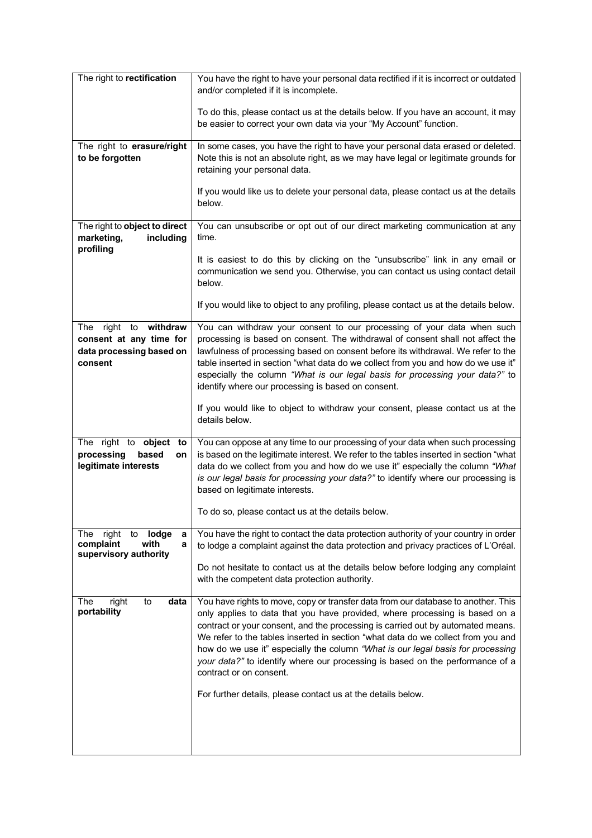| The right to rectification                                                              | You have the right to have your personal data rectified if it is incorrect or outdated<br>and/or completed if it is incomplete.                                                                                                                                                                                                                                                                                                                                                                                                                                                                        |
|-----------------------------------------------------------------------------------------|--------------------------------------------------------------------------------------------------------------------------------------------------------------------------------------------------------------------------------------------------------------------------------------------------------------------------------------------------------------------------------------------------------------------------------------------------------------------------------------------------------------------------------------------------------------------------------------------------------|
|                                                                                         | To do this, please contact us at the details below. If you have an account, it may<br>be easier to correct your own data via your "My Account" function.                                                                                                                                                                                                                                                                                                                                                                                                                                               |
| The right to erasure/right<br>to be forgotten                                           | In some cases, you have the right to have your personal data erased or deleted.<br>Note this is not an absolute right, as we may have legal or legitimate grounds for<br>retaining your personal data.                                                                                                                                                                                                                                                                                                                                                                                                 |
|                                                                                         | If you would like us to delete your personal data, please contact us at the details<br>below.                                                                                                                                                                                                                                                                                                                                                                                                                                                                                                          |
| The right to object to direct<br>marketing,<br>including<br>profiling                   | You can unsubscribe or opt out of our direct marketing communication at any<br>time.                                                                                                                                                                                                                                                                                                                                                                                                                                                                                                                   |
|                                                                                         | It is easiest to do this by clicking on the "unsubscribe" link in any email or<br>communication we send you. Otherwise, you can contact us using contact detail<br>below.                                                                                                                                                                                                                                                                                                                                                                                                                              |
|                                                                                         | If you would like to object to any profiling, please contact us at the details below.                                                                                                                                                                                                                                                                                                                                                                                                                                                                                                                  |
| The right to withdraw<br>consent at any time for<br>data processing based on<br>consent | You can withdraw your consent to our processing of your data when such<br>processing is based on consent. The withdrawal of consent shall not affect the<br>lawfulness of processing based on consent before its withdrawal. We refer to the<br>table inserted in section "what data do we collect from you and how do we use it"<br>especially the column "What is our legal basis for processing your data?" to<br>identify where our processing is based on consent.                                                                                                                                |
|                                                                                         | If you would like to object to withdraw your consent, please contact us at the<br>details below.                                                                                                                                                                                                                                                                                                                                                                                                                                                                                                       |
| The right to object to<br>processing<br>based<br>on<br>legitimate interests             | You can oppose at any time to our processing of your data when such processing<br>is based on the legitimate interest. We refer to the tables inserted in section "what<br>data do we collect from you and how do we use it" especially the column "What<br>is our legal basis for processing your data?" to identify where our processing is<br>based on legitimate interests.                                                                                                                                                                                                                        |
|                                                                                         | To do so, please contact us at the details below.                                                                                                                                                                                                                                                                                                                                                                                                                                                                                                                                                      |
| The<br>right<br>to<br>lodge<br>а<br>complaint<br>with<br>a<br>supervisory authority     | You have the right to contact the data protection authority of your country in order<br>to lodge a complaint against the data protection and privacy practices of L'Oréal.                                                                                                                                                                                                                                                                                                                                                                                                                             |
|                                                                                         | Do not hesitate to contact us at the details below before lodging any complaint<br>with the competent data protection authority.                                                                                                                                                                                                                                                                                                                                                                                                                                                                       |
| right<br>data<br>The<br>to<br>portability                                               | You have rights to move, copy or transfer data from our database to another. This<br>only applies to data that you have provided, where processing is based on a<br>contract or your consent, and the processing is carried out by automated means.<br>We refer to the tables inserted in section "what data do we collect from you and<br>how do we use it" especially the column "What is our legal basis for processing<br>your data?" to identify where our processing is based on the performance of a<br>contract or on consent.<br>For further details, please contact us at the details below. |